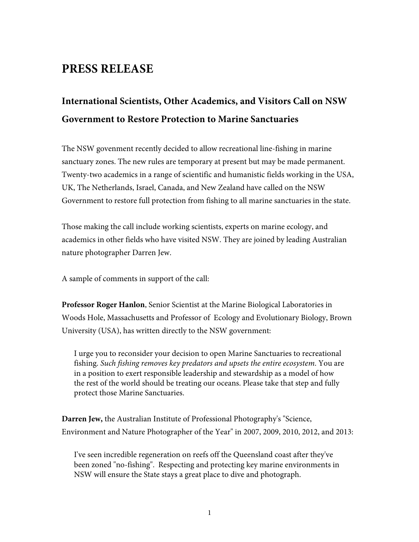## **PRESS RELEASE**

# **International Scientists, Other Academics, and Visitors Call on NSW Government to Restore Protection to Marine Sanctuaries**

The NSW govenment recently decided to allow recreational line-fishing in marine sanctuary zones. The new rules are temporary at present but may be made permanent. Twenty-two academics in a range of scientific and humanistic fields working in the USA, UK, The Netherlands, Israel, Canada, and New Zealand have called on the NSW Government to restore full protection from fishing to all marine sanctuaries in the state.

Those making the call include working scientists, experts on marine ecology, and academics in other fields who have visited NSW. They are joined by leading Australian nature photographer Darren Jew.

A sample of comments in support of the call:

**Professor Roger Hanlon**, Senior Scientist at the Marine Biological Laboratories in Woods Hole, Massachusetts and Professor of Ecology and Evolutionary Biology, Brown University (USA), has written directly to the NSW government:

I urge you to reconsider your decision to open Marine Sanctuaries to recreational fishing. *Such fishing removes key predators and upsets the entire ecosystem*. You are in a position to exert responsible leadership and stewardship as a model of how the rest of the world should be treating our oceans. Please take that step and fully protect those Marine Sanctuaries.

**Darren Jew,** the Australian Institute of Professional Photography's "Science, Environment and Nature Photographer of the Year" in 2007, 2009, 2010, 2012, and 2013:

I've seen incredible regeneration on reefs off the Queensland coast after they've been zoned "no-fishing". Respecting and protecting key marine environments in NSW will ensure the State stays a great place to dive and photograph.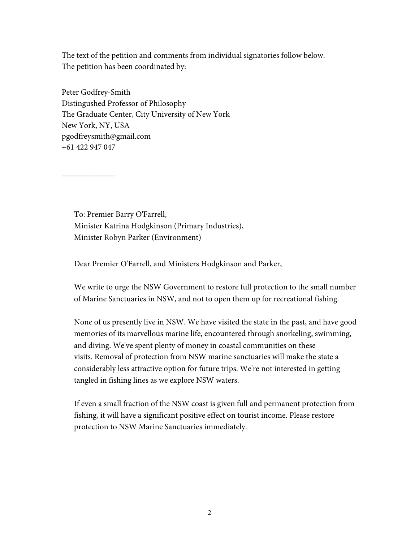The text of the petition and comments from individual signatories follow below. The petition has been coordinated by:

Peter Godfrey-Smith Distingushed Professor of Philosophy The Graduate Center, City University of New York New York, NY, USA pgodfreysmith@gmail.com +61 422 947 047

 $\overline{\phantom{a}}$  , where  $\overline{\phantom{a}}$ 

To: Premier Barry O'Farrell, Minister Katrina Hodgkinson (Primary Industries), Minister Robyn Parker (Environment)

Dear Premier O'Farrell, and Ministers Hodgkinson and Parker,

We write to urge the NSW Government to restore full protection to the small number of Marine Sanctuaries in NSW, and not to open them up for recreational fishing.

None of us presently live in NSW. We have visited the state in the past, and have good memories of its marvellous marine life, encountered through snorkeling, swimming, and diving. We've spent plenty of money in coastal communities on these visits. Removal of protection from NSW marine sanctuaries will make the state a considerably less attractive option for future trips. We're not interested in getting tangled in fishing lines as we explore NSW waters.

If even a small fraction of the NSW coast is given full and permanent protection from fishing, it will have a significant positive effect on tourist income. Please restore protection to NSW Marine Sanctuaries immediately.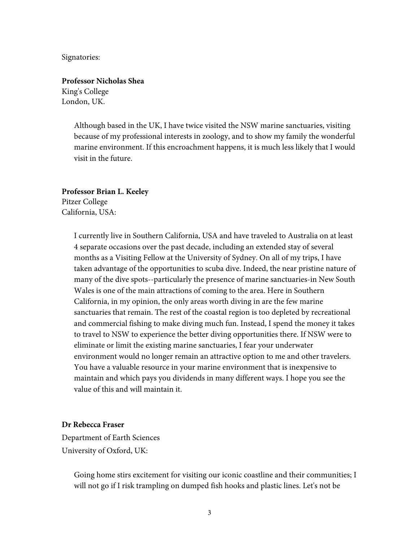Signatories:

**Professor Nicholas Shea** King's College London, UK.

> Although based in the UK, I have twice visited the NSW marine sanctuaries, visiting because of my professional interests in zoology, and to show my family the wonderful marine environment. If this encroachment happens, it is much less likely that I would visit in the future.

**Professor Brian L. Keeley**

Pitzer College California, USA:

> I currently live in Southern California, USA and have traveled to Australia on at least 4 separate occasions over the past decade, including an extended stay of several months as a Visiting Fellow at the University of Sydney. On all of my trips, I have taken advantage of the opportunities to scuba dive. Indeed, the near pristine nature of many of the dive spots--particularly the presence of marine sanctuaries-in New South Wales is one of the main attractions of coming to the area. Here in Southern California, in my opinion, the only areas worth diving in are the few marine sanctuaries that remain. The rest of the coastal region is too depleted by recreational and commercial fishing to make diving much fun. Instead, I spend the money it takes to travel to NSW to experience the better diving opportunities there. If NSW were to eliminate or limit the existing marine sanctuaries, I fear your underwater environment would no longer remain an attractive option to me and other travelers. You have a valuable resource in your marine environment that is inexpensive to maintain and which pays you dividends in many different ways. I hope you see the value of this and will maintain it.

## **Dr Rebecca Fraser**

Department of Earth Sciences University of Oxford, UK:

> Going home stirs excitement for visiting our iconic coastline and their communities; I will not go if I risk trampling on dumped fish hooks and plastic lines. Let's not be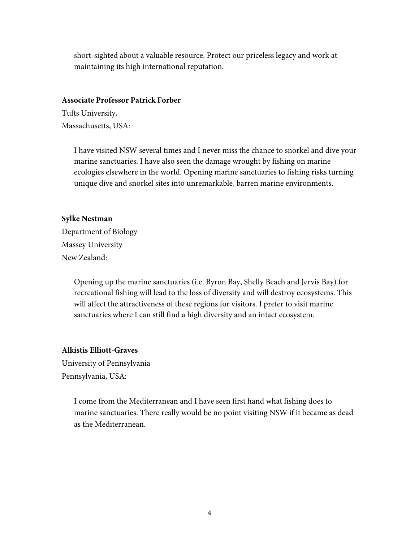short-sighted about a valuable resource. Protect our priceless legacy and work at maintaining its high international reputation.

#### **Associate Professor Patrick Forber**

Tufts University, Massachusetts, USA:

> I have visited NSW several times and I never miss the chance to snorkel and dive your marine sanctuaries. I have also seen the damage wrought by fishing on marine ecologies elsewhere in the world. Opening marine sanctuaries to fishing risks turning unique dive and snorkel sites into unremarkable, barren marine environments.

#### **Sylke Nestman**

Department of Biology Massey University New Zealand:

> Opening up the marine sanctuaries (i.e. Byron Bay, Shelly Beach and Jervis Bay) for recreational fishing will lead to the loss of diversity and will destroy ecosystems. This will affect the attractiveness of these regions for visitors. I prefer to visit marine sanctuaries where I can still find a high diversity and an intact ecosystem.

## **Alkistis Elliott-Graves**

University of Pennsylvania Pennsylvania, USA:

> I come from the Mediterranean and I have seen first hand what fishing does to marine sanctuaries. There really would be no point visiting NSW if it became as dead as the Mediterranean.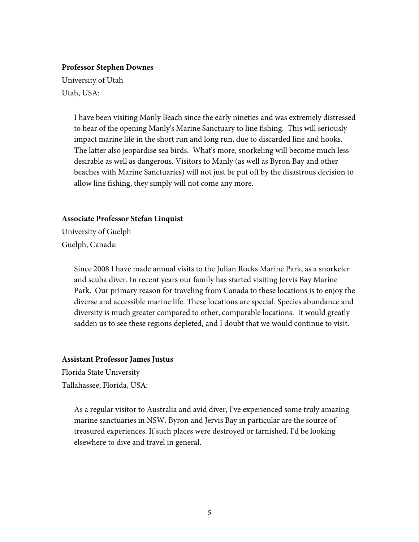#### **Professor Stephen Downes**

University of Utah Utah, USA:

> I have been visiting Manly Beach since the early nineties and was extremely distressed to hear of the opening Manly's Marine Sanctuary to line fishing. This will seriously impact marine life in the short run and long run, due to discarded line and hooks. The latter also jeopardise sea birds. What's more, snorkeling will become much less desirable as well as dangerous. Visitors to Manly (as well as Byron Bay and other beaches with Marine Sanctuaries) will not just be put off by the disastrous decision to allow line fishing, they simply will not come any more.

#### **Associate Professor Stefan Linquist**

University of Guelph Guelph, Canada:

> Since 2008 I have made annual visits to the Julian Rocks Marine Park, as a snorkeler and scuba diver. In recent years our family has started visiting Jervis Bay Marine Park. Our primary reason for traveling from Canada to these locations is to enjoy the diverse and accessible marine life. These locations are special. Species abundance and diversity is much greater compared to other, comparable locations. It would greatly sadden us to see these regions depleted, and I doubt that we would continue to visit.

#### **Assistant Professor James Justus**

Florida State University Tallahassee, Florida, USA:

> As a regular visitor to Australia and avid diver, I've experienced some truly amazing marine sanctuaries in NSW. Byron and Jervis Bay in particular are the source of treasured experiences. If such places were destroyed or tarnished, I'd be looking elsewhere to dive and travel in general.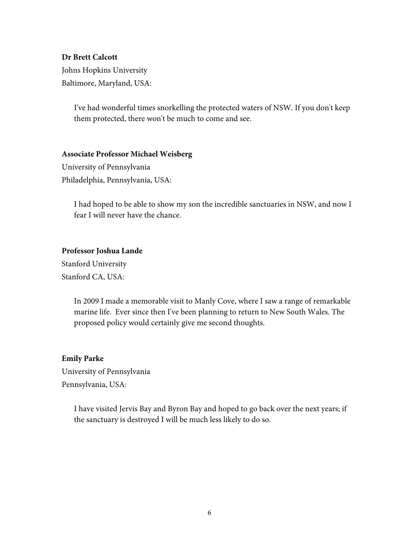## **Dr Brett Calcott**

Johns Hopkins University Baltimore, Maryland, USA:

> I've had wonderful times snorkelling the protected waters of NSW. If you don't keep them protected, there won't be much to come and see.

### **Associate Professor Michael Weisberg**

University of Pennsylvania Philadelphia, Pennsylvania, USA:

> I had hoped to be able to show my son the incredible sanctuaries in NSW, and now I fear I will never have the chance.

### **Professor Joshua Lande**

Stanford University Stanford CA, USA:

> In 2009 I made a memorable visit to Manly Cove, where I saw a range of remarkable marine life. Ever since then I've been planning to return to New South Wales. The proposed policy would certainly give me second thoughts.

#### **Emily Parke**

University of Pennsylvania Pennsylvania, USA:

> I have visited Jervis Bay and Byron Bay and hoped to go back over the next years; if the sanctuary is destroyed I will be much less likely to do so.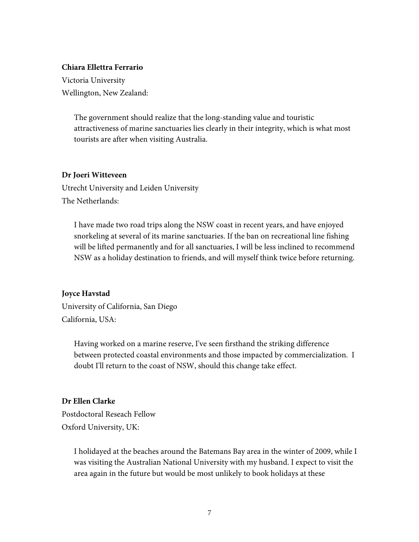#### **Chiara Ellettra Ferrario**

Victoria University Wellington, New Zealand:

> The government should realize that the long-standing value and touristic attractiveness of marine sanctuaries lies clearly in their integrity, which is what most tourists are after when visiting Australia.

#### **Dr Joeri Witteveen**

Utrecht University and Leiden University The Netherlands:

I have made two road trips along the NSW coast in recent years, and have enjoyed snorkeling at several of its marine sanctuaries. If the ban on recreational line fishing will be lifted permanently and for all sanctuaries, I will be less inclined to recommend NSW as a holiday destination to friends, and will myself think twice before returning.

#### **Joyce Havstad**

University of California, San Diego California, USA:

> Having worked on a marine reserve, I've seen firsthand the striking difference between protected coastal environments and those impacted by commercialization. I doubt I'll return to the coast of NSW, should this change take effect.

#### **Dr Ellen Clarke**

Postdoctoral Reseach Fellow Oxford University, UK:

> I holidayed at the beaches around the Batemans Bay area in the winter of 2009, while I was visiting the Australian National University with my husband. I expect to visit the area again in the future but would be most unlikely to book holidays at these